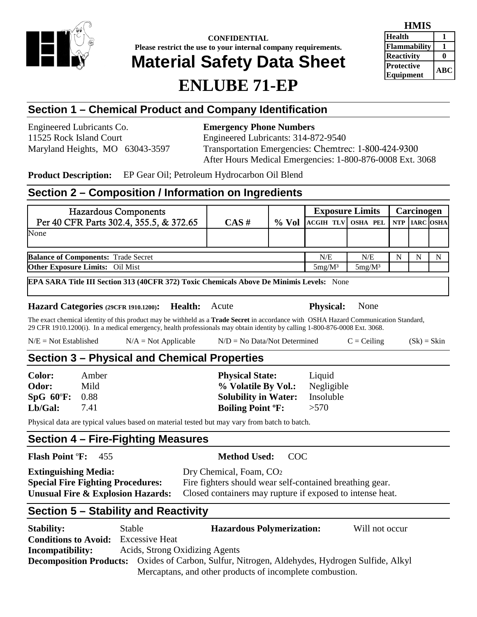

**CONFIDENTIAL Please restrict the use to your internal company requirements.**

# **Material Safety Data Sheet**

# **ENLUBE 71-EP**

| HMIS                |            |
|---------------------|------------|
| <b>Health</b>       |            |
| <b>Flammability</b> |            |
| <b>Reactivity</b>   |            |
| <b>Protective</b>   | <b>ABC</b> |
| <b>Equipment</b>    |            |

## **Section 1 – Chemical Product and Company Identification**

Engineered Lubricants Co. **Emergency Phone Numbers**

11525 Rock Island Court Engineered Lubricants: 314-872-9540 Maryland Heights, MO 63043-3597 Transportation Emergencies: Chemtrec: 1-800-424-9300 After Hours Medical Emergencies: 1-800-876-0008 Ext. 3068

**Product Description:** EP Gear Oil; Petroleum Hydrocarbon Oil Blend

### **Section 2 – Composition / Information on Ingredients**

| <b>Hazardous Components</b>                |          |           | <b>Exposure Limits</b>             |     | Carcinogen |   |
|--------------------------------------------|----------|-----------|------------------------------------|-----|------------|---|
| Per 40 CFR Parts 302.4, 355.5, & 372.65    | $CAS \#$ | $\%$ Vol  | ACGIH TLV OSHA PEL NTP   IARC OSHA |     |            |   |
| None                                       |          |           |                                    |     |            |   |
|                                            |          |           |                                    |     |            |   |
| <b>Balance of Components: Trade Secret</b> |          |           | N/E                                | N/E |            | N |
| <b>Other Exposure Limits:</b> Oil Mist     |          | $5mg/M^3$ | $5mg/M^3$                          |     |            |   |

**EPA SARA Title III Section 313 (40CFR 372) Toxic Chemicals Above De Minimis Levels:** None

### **Hazard Categories (29CFR 1910.1200): Health:** Acute **Physical:** None

The exact chemical identity of this product may be withheld as a **Trade Secret** in accordance with OSHA Hazard Communication Standard, 29 CFR 1910.1200(i). In a medical emergency, health professionals may obtain identity by calling 1-800-876-0008 Ext. 3068.

| $N/E = Not Established$ | $N/A = Not Applicable$ | $N/D = No Data/Not Determine$ | $C = Ceiling$ | $(Sk) = Skin$ |
|-------------------------|------------------------|-------------------------------|---------------|---------------|
|-------------------------|------------------------|-------------------------------|---------------|---------------|

### **Section 3 – Physical and Chemical Properties**

| <b>Color:</b>  | Amber | <b>Physical State:</b>              | Liquid     |
|----------------|-------|-------------------------------------|------------|
| Odor:          | Mild  | % Volatile By Vol.:                 | Negligible |
| SpG 60°F: 0.88 |       | <b>Solubility in Water:</b>         | Insoluble  |
| Lb/Gal:        | 7.41  | <b>Boiling Point <sup>o</sup>F:</b> | >570       |

Physical data are typical values based on material tested but may vary from batch to batch.

### **Section 4 – Fire-Fighting Measures**

**Flash Point** º**F:** 455 **Method Used:** COC

| <b>Extinguishing Media:</b>              | Dry Chemical, Foam, CO <sub>2</sub>                       |
|------------------------------------------|-----------------------------------------------------------|
| <b>Special Fire Fighting Procedures:</b> | Fire fighters should wear self-contained breathing gear.  |
| Unusual Fire & Explosion Hazards:        | Closed containers may rupture if exposed to intense heat. |

## **Section 5 – Stability and Reactivity**

| <b>Stability:</b>                                                                                     | Stable                         | <b>Hazardous Polymerization:</b>                         | Will not occur |
|-------------------------------------------------------------------------------------------------------|--------------------------------|----------------------------------------------------------|----------------|
| <b>Conditions to Avoid:</b>                                                                           | <b>Excessive Heat</b>          |                                                          |                |
| <b>Incompatibility:</b>                                                                               | Acids, Strong Oxidizing Agents |                                                          |                |
| <b>Decomposition Products:</b> Oxides of Carbon, Sulfur, Nitrogen, Aldehydes, Hydrogen Sulfide, Alkyl |                                |                                                          |                |
|                                                                                                       |                                | Mercaptans, and other products of incomplete combustion. |                |